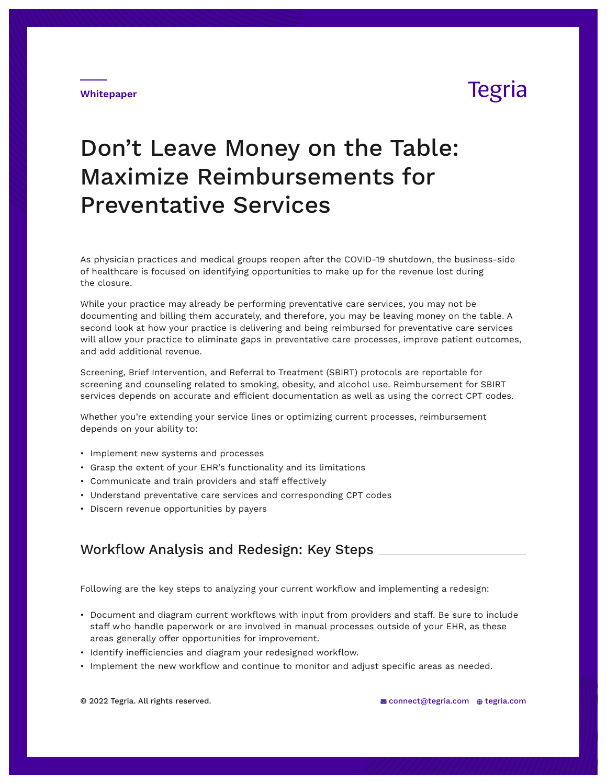### **Whitepaper**

# **Tegria**

# Don't Leave Money on the Table: Maximize Reimbursements for Preventative Services

As physician practices and medical groups reopen after the COVID-19 shutdown, the business-side of healthcare is focused on identifying opportunities to make up for the revenue lost during the closure.

While your practice may already be performing preventative care services, you may not be documenting and billing them accurately, and therefore, you may be leaving money on the table. A second look at how your practice is delivering and being reimbursed for preventative care services will allow your practice to eliminate gaps in preventative care processes, improve patient outcomes, and add additional revenue.

Screening, Brief Intervention, and Referral to Treatment (SBIRT) protocols are reportable for screening and counseling related to smoking, obesity, and alcohol use. Reimbursement for SBIRT services depends on accurate and efficient documentation as well as using the correct CPT codes.

Whether you're extending your service lines or optimizing current processes, reimbursement depends on your ability to:

- Implement new systems and processes
- Grasp the extent of your EHR's functionality and its limitations
- Communicate and train providers and staff effectively
- Understand preventative care services and corresponding CPT codes
- Discern revenue opportunities by payers

### Workflow Analysis and Redesign: Key Steps

Following are the key steps to analyzing your current workflow and implementing a redesign:

- Document and diagram current workflows with input from providers and staff. Be sure to include staff who handle paperwork or are involved in manual processes outside of your EHR, as these areas generally offer opportunities for improvement.
- Identify inefficiencies and diagram your redesigned workflow.
- Implement the new workflow and continue to monitor and adjust specific areas as needed.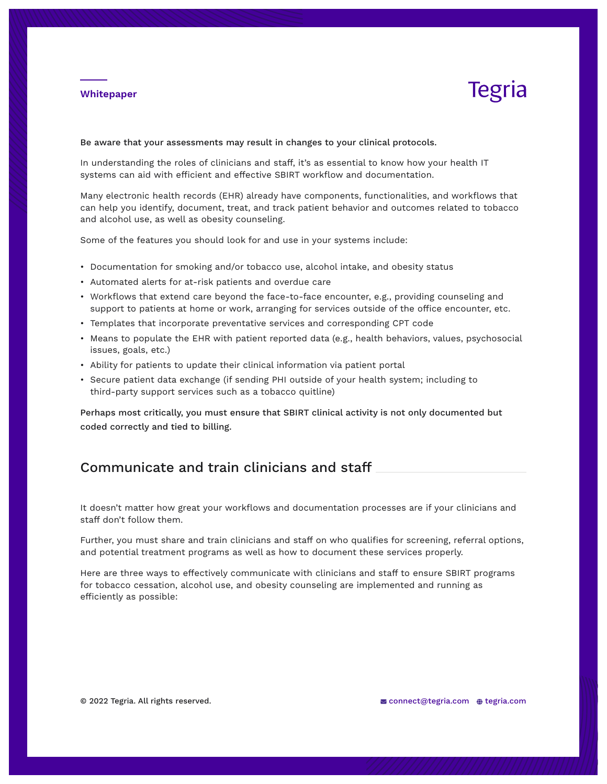### **Whitepaper**

# Tegria

Be aware that your assessments may result in changes to your clinical protocols.

In understanding the roles of clinicians and staff, it's as essential to know how your health IT systems can aid with efficient and effective SBIRT workflow and documentation.

Many electronic health records (EHR) already have components, functionalities, and workflows that can help you identify, document, treat, and track patient behavior and outcomes related to tobacco and alcohol use, as well as obesity counseling.

Some of the features you should look for and use in your systems include:

- Documentation for smoking and/or tobacco use, alcohol intake, and obesity status
- Automated alerts for at-risk patients and overdue care
- Workflows that extend care beyond the face-to-face encounter, e.g., providing counseling and support to patients at home or work, arranging for services outside of the office encounter, etc.
- Templates that incorporate preventative services and corresponding CPT code
- Means to populate the EHR with patient reported data (e.g., health behaviors, values, psychosocial issues, goals, etc.)
- Ability for patients to update their clinical information via patient portal
- Secure patient data exchange (if sending PHI outside of your health system; including to third-party support services such as a tobacco quitline)

Perhaps most critically, you must ensure that SBIRT clinical activity is not only documented but coded correctly and tied to billing.

## Communicate and train clinicians and staff

It doesn't matter how great your workflows and documentation processes are if your clinicians and staff don't follow them.

Further, you must share and train clinicians and staff on who qualifies for screening, referral options, and potential treatment programs as well as how to document these services properly.

Here are three ways to effectively communicate with clinicians and staff to ensure SBIRT programs for tobacco cessation, alcohol use, and obesity counseling are implemented and running as efficiently as possible: